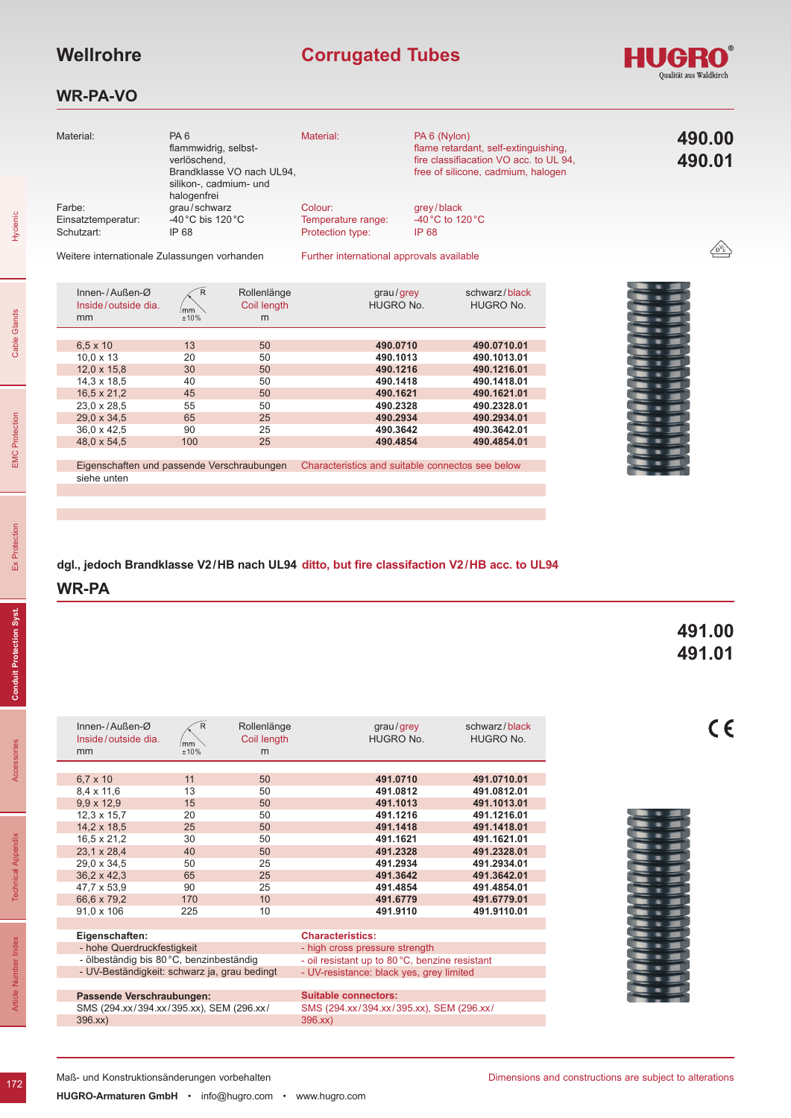# **Corrugated Tubes**

#### **WR-PA-VO**

| ⊀R»                    |
|------------------------|
| Qualität aus Waldkirch |

| Material:                                  | PA <sub>6</sub><br>flammwidrig, selbst-<br>verlöschend.<br>Brandklasse VO nach UL94,<br>silikon-, cadmium- und | Material:                                         | PA 6 (Nylon)<br>flame retardant, self-extinguishing,<br>fire classifiacation VO acc. to UL 94,<br>free of silicone, cadmium, halogen | 490.00<br>490.01 |
|--------------------------------------------|----------------------------------------------------------------------------------------------------------------|---------------------------------------------------|--------------------------------------------------------------------------------------------------------------------------------------|------------------|
| Farbe:<br>Einsatztemperatur:<br>Schutzart: | halogenfrei<br>grau/schwarz<br>-40 $^{\circ}$ C bis 120 $^{\circ}$ C<br>IP 68                                  | Colour:<br>Temperature range:<br>Protection type: | grey/black<br>-40 °C to 120 °C<br>IP 68                                                                                              |                  |
|                                            | Weitere internationale Zulgesungen verhanden                                                                   | Eurther international approvale available         |                                                                                                                                      |                  |

Weitere internationale Zulassungen vorhanden

Further international approvals available

| Innen-/Außen- $\varnothing$<br>Inside/outside dia.<br>mm | $\mathsf{R}$<br>mm<br>±10% | Rollenlänge<br>Coil length<br>m | qrau/qrev<br>HUGRO No.                           | schwarz/black<br>HUGRO No. |
|----------------------------------------------------------|----------------------------|---------------------------------|--------------------------------------------------|----------------------------|
|                                                          |                            |                                 |                                                  |                            |
| $6.5 \times 10$                                          | 13                         | 50                              | 490.0710                                         | 490.0710.01                |
| $10.0 \times 13$                                         | 20                         | 50                              | 490.1013                                         | 490.1013.01                |
| $12.0 \times 15.8$                                       | 30                         | 50                              | 490.1216                                         | 490.1216.01                |
| $14.3 \times 18.5$                                       | 40                         | 50                              | 490.1418                                         | 490.1418.01                |
| $16.5 \times 21.2$                                       | 45                         | 50                              | 490.1621                                         | 490.1621.01                |
| $23.0 \times 28.5$                                       | 55                         | 50                              | 490.2328                                         | 490.2328.01                |
| $29.0 \times 34.5$                                       | 65                         | 25                              | 490.2934                                         | 490.2934.01                |
| $36.0 \times 42.5$                                       | 90                         | 25                              | 490.3642                                         | 490.3642.01                |
| 48.0 x 54.5                                              | 100                        | 25                              | 490.4854                                         | 490.4854.01                |
|                                                          |                            |                                 |                                                  |                            |
| Figenschaften und nassende Verschrauhungen               |                            |                                 | Characteristics and suitable connectos see below |                            |



Eigenschaften und passende Verschraubungen siehe unten Characteristics and suitable connectos see below

**dgl., jedoch Brandklasse V2/HB nach UL94 ditto, but fire classifaction V2/HB acc. to UL94**

#### **WR-PA**

### **491.00 491.01**

| Innen-/Außen- $\varnothing$<br>Inside/outside dia.<br>mm | R<br>mm<br>±10% | Rollenlänge<br>Coil length<br>m | grau/grey<br>HUGRO No.                         | schwarz/black<br><b>HUGRO No.</b> |  |
|----------------------------------------------------------|-----------------|---------------------------------|------------------------------------------------|-----------------------------------|--|
|                                                          |                 |                                 |                                                |                                   |  |
| $6.7 \times 10$                                          | 11              | 50                              | 491.0710                                       | 491.0710.01                       |  |
| $8.4 \times 11.6$                                        | 13              | 50                              | 491.0812                                       | 491.0812.01                       |  |
| $9.9 \times 12.9$                                        | 15              | 50                              | 491.1013                                       | 491.1013.01                       |  |
| $12.3 \times 15.7$                                       | 20              | 50                              | 491.1216                                       | 491.1216.01                       |  |
| 14,2 x 18,5                                              | 25              | 50                              | 491.1418                                       | 491.1418.01                       |  |
| 16,5 x 21,2                                              | 30              | 50                              | 491.1621                                       | 491.1621.01                       |  |
| 23,1 x 28,4                                              | 40              | 50                              | 491.2328                                       | 491.2328.01                       |  |
| 29,0 x 34,5                                              | 50              | 25                              | 491.2934                                       | 491.2934.01                       |  |
| $36,2 \times 42,3$                                       | 65              | 25                              | 491.3642                                       | 491.3642.01                       |  |
| 47,7 x 53,9                                              | 90              | 25                              | 491.4854                                       | 491.4854.01                       |  |
| 66,6 x 79,2                                              | 170             | 10                              | 491.6779                                       | 491.6779.01                       |  |
| $91.0 \times 106$                                        | 225             | 10                              | 491.9110                                       | 491.9110.01                       |  |
|                                                          |                 |                                 |                                                |                                   |  |
| Eigenschaften:                                           |                 |                                 | <b>Characteristics:</b>                        |                                   |  |
| - hohe Querdruckfestigkeit                               |                 |                                 | - high cross pressure strength                 |                                   |  |
| - ölbeständig bis 80 °C, benzinbeständig                 |                 |                                 | - oil resistant up to 80 °C, benzine resistant |                                   |  |
| - UV-Beständigkeit: schwarz ja, grau bedingt             |                 |                                 | - UV-resistance: black yes, grey limited       |                                   |  |
|                                                          |                 |                                 |                                                |                                   |  |
| Passende Verschraubungen:                                |                 |                                 | <b>Suitable connectors:</b>                    |                                   |  |
| SMS (294.xx/394.xx/395.xx), SEM (296.xx/                 |                 |                                 | SMS (294.xx/394.xx/395.xx), SEM (296.xx/       |                                   |  |
| 396.xx)                                                  |                 |                                 | 396.xx                                         |                                   |  |

Accessories

172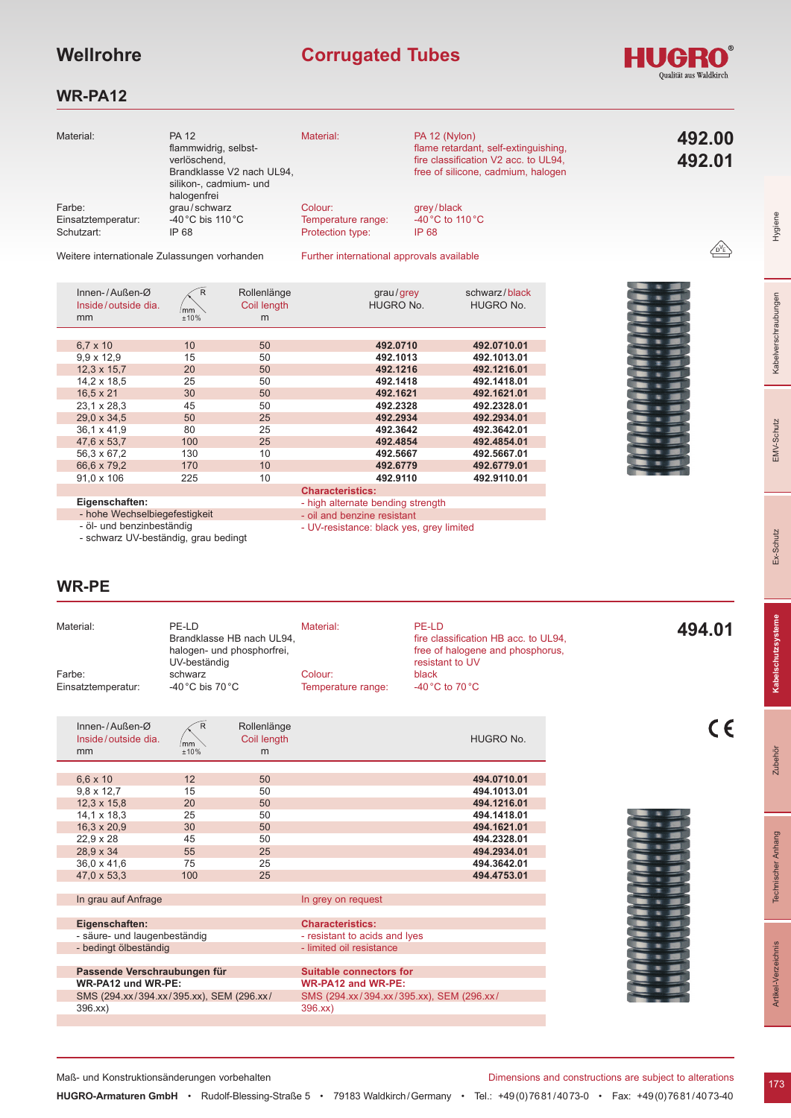# **Wellrohre Corrugated Tubes**

#### HUG **Waldkirch**

#### **WR-PA12**

| Material:          | <b>PA 12</b>                                 | Material:                                 | PA 12 (Nylon)                        |              |
|--------------------|----------------------------------------------|-------------------------------------------|--------------------------------------|--------------|
|                    | flammwidrig, selbst-                         |                                           | flame retardant, self-extinguishing, | 492.00       |
|                    | verlöschend.                                 |                                           | fire classification V2 acc. to UL94, | 492.01       |
|                    | Brandklasse V2 nach UL94,                    |                                           | free of silicone, cadmium, halogen   |              |
|                    | silikon-, cadmium- und                       |                                           |                                      |              |
|                    | halogenfrei                                  |                                           |                                      |              |
| Farbe:             | grau/schwarz                                 | Colour:                                   | grey/black                           |              |
| Einsatztemperatur: | -40 $^{\circ}$ C bis 110 $^{\circ}$ C        | Temperature range:                        | -40 $^{\circ}$ C to 110 $^{\circ}$ C |              |
| Schutzart:         | IP 68                                        | Protection type:                          | IP 68                                |              |
|                    |                                              |                                           |                                      | $\sqrt{D'E}$ |
|                    | Weitere internationale Zulgesungen verhanden | Eurther international approvals available |                                      |              |

Weitere internationale Zulassungen vorhanden

Further international approvals available

| Innen-/Außen- $\varnothing$<br>Inside/outside dia.<br>mm | R<br>mm<br>±10% | Rollenlänge<br>Coil length<br>m | grau/grey<br><b>HUGRO No.</b> | schwarz/black<br><b>HUGRO No.</b> |
|----------------------------------------------------------|-----------------|---------------------------------|-------------------------------|-----------------------------------|
|                                                          |                 |                                 |                               |                                   |
| $6.7 \times 10$                                          | 10              | 50                              | 492.0710                      | 492.0710.01                       |
| $9.9 \times 12.9$                                        | 15              | 50                              | 492.1013                      | 492.1013.01                       |
| $12.3 \times 15.7$                                       | 20              | 50                              | 492.1216                      | 492.1216.01                       |
| 14.2 x 18.5                                              | 25              | 50                              | 492.1418                      | 492.1418.01                       |
| $16.5 \times 21$                                         | 30              | 50                              | 492.1621                      | 492.1621.01                       |
| $23.1 \times 28.3$                                       | 45              | 50                              | 492.2328                      | 492.2328.01                       |
| 29,0 x 34,5                                              | 50              | 25                              | 492.2934                      | 492.2934.01                       |
| $36.1 \times 41.9$                                       | 80              | 25                              | 492.3642                      | 492.3642.01                       |
| 47.6 x 53.7                                              | 100             | 25                              | 492.4854                      | 492.4854.01                       |
| 56,3 x 67,2                                              | 130             | 10                              | 492.5667                      | 492.5667.01                       |
| 66,6 x 79,2                                              | 170             | 10                              | 492.6779                      | 492.6779.01                       |
| $91.0 \times 106$                                        | 225             | 10                              | 492.9110                      | 492.9110.01                       |
|                                                          |                 |                                 | <b>Characteristics:</b>       |                                   |



- **Eigenschaften:**
- hohe Wechselbiegefestigkeit
- high alternate bending strength
- oil and benzine resistant
- UV-resistance: black yes, grey limited
- öl- und benzinbeständig - schwarz UV-beständig, grau bedingt

#### **WR-PE**

| Material:          | PE-LD                      | Material:          | PE-LD                                | 494.01 |
|--------------------|----------------------------|--------------------|--------------------------------------|--------|
|                    | Brandklasse HB nach UL94,  |                    | fire classification HB acc. to UL94, |        |
|                    | halogen- und phosphorfrei, |                    | free of halogene and phosphorus.     |        |
|                    | UV-beständig               |                    | resistant to UV                      |        |
| Farbe:             | schwarz                    | Colour:            | black                                |        |
| Einsatztemperatur: | -40 °C bis 70 °C           | Temperature range: | -40 °C to 70 °C                      |        |
|                    |                            |                    |                                      |        |

| Innen-/Außen- $\varnothing$<br>Inside/outside dia.<br>mm | R<br>mm<br>±10% | Rollenlänge<br>Coil length<br>m | <b>HUGRO No.</b>                         |  |
|----------------------------------------------------------|-----------------|---------------------------------|------------------------------------------|--|
|                                                          |                 |                                 |                                          |  |
| $6,6 \times 10$                                          | 12              | 50                              | 494.0710.01                              |  |
| $9.8 \times 12.7$                                        | 15              | 50                              | 494.1013.01                              |  |
| $12.3 \times 15.8$                                       | 20              | 50                              | 494.1216.01                              |  |
| $14.1 \times 18.3$                                       | 25              | 50                              | 494.1418.01                              |  |
| $16.3 \times 20.9$                                       | 30              | 50                              | 494.1621.01                              |  |
| $22.9 \times 28$                                         | 45              | 50                              | 494.2328.01                              |  |
| 28,9 x 34                                                | 55              | 25                              | 494.2934.01                              |  |
| 36,0 x 41,6                                              | 75              | 25                              | 494.3642.01                              |  |
| 47,0 x 53,3                                              | 100             | 25                              | 494.4753.01                              |  |
|                                                          |                 |                                 |                                          |  |
| In grau auf Anfrage                                      |                 |                                 | In grey on request                       |  |
|                                                          |                 |                                 |                                          |  |
| Eigenschaften:                                           |                 |                                 | <b>Characteristics:</b>                  |  |
| - säure- und laugenbeständig                             |                 |                                 | - resistant to acids and lyes            |  |
| - bedingt ölbeständig                                    |                 |                                 | - limited oil resistance                 |  |
|                                                          |                 |                                 |                                          |  |
| Passende Verschraubungen für                             |                 |                                 | <b>Suitable connectors for</b>           |  |
| WR-PA12 und WR-PE:                                       |                 |                                 | <b>WR-PA12 and WR-PE:</b>                |  |
| SMS (294.xx/394.xx/395.xx), SEM (296.xx/                 |                 |                                 | SMS (294.xx/394.xx/395.xx), SEM (296.xx/ |  |

396.xx)



 $C<sub>6</sub>$ 

Hygiene

Kabelverschraubungen

EMV-Schutz

Ex-Schutz

**Zubehör** 

396.xx)

Maß- und Konstruktionsänderungen vorbehalten Dimensions and constructions are subject to alterations